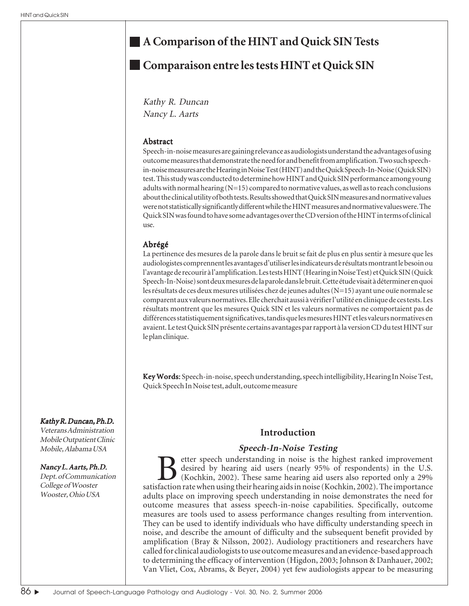# **A Comparison of the HINT and Quick SIN Tests**

# **Comparaison entre les tests HINT et Quick SIN**

Kathy R. Duncan Nancy L. Aarts

### Abstract

Speech-in-noise measures are gaining relevance as audiologists understand the advantages of using outcome measures that demonstrate the need for and benefit from amplification. Two such speechin-noise measures are the Hearing in Noise Test (HINT) and the Quick Speech-In-Noise (Quick SIN) test. This study was conducted to determine how HINT and Quick SIN performance among young adults with normal hearing  $(N=15)$  compared to normative values, as well as to reach conclusions about the clinical utility of both tests. Results showed that Quick SIN measures and normative values were not statistically significantly different while the HINT measures and normative values were. The Quick SIN was found to have some advantages over the CD version of the HINT in terms of clinical use.

# Abrégé

La pertinence des mesures de la parole dans le bruit se fait de plus en plus sentir à mesure que les audiologistes comprennent les avantages d'utiliser les indicateurs de résultats montrant le besoin ou l'avantage de recourir à l'amplification. Les tests HINT (Hearing in Noise Test) et Quick SIN (Quick Speech-In-Noise) sont deux mesures de la parole dans le bruit. Cette étude visait à déterminer en quoi les résultats de ces deux mesures utilisées chez de jeunes adultes (N=15) ayant une ouïe normale se comparent aux valeurs normatives. Elle cherchait aussi à vérifier l'utilité en clinique de ces tests. Les résultats montrent que les mesures Quick SIN et les valeurs normatives ne comportaient pas de différences statistiquement significatives, tandis que les mesures HINT et les valeurs normatives en avaient. Le test Quick SIN présente certains avantages par rapport à la version CD du test HINT sur le plan clinique.

Key Words: Words: Speech-in-noise, speech understanding, speech intelligibility, Hearing In Noise Test, Quick Speech In Noise test, adult, outcome measure

# **Introduction**

# **Speech-In-Noise Testing**

Better speech understanding in noise is the highest ranked improvement desired by hearing aid users (nearly 95% of respondents) in the U.S. (Kochkin, 2002). These same hearing aid users also reported only a 29% satisfaction rate when using their hearing aids in noise (Kochkin, 2002). The importance adults place on improving speech understanding in noise demonstrates the need for outcome measures that assess speech-in-noise capabilities. Specifically, outcome measures are tools used to assess performance changes resulting from intervention. They can be used to identify individuals who have difficulty understanding speech in noise, and describe the amount of difficulty and the subsequent benefit provided by amplification (Bray & Nilsson, 2002). Audiology practitioners and researchers have called for clinical audiologists to use outcome measures and an evidence-based approach to determining the efficacy of intervention (Higdon, 2003; Johnson & Danhauer, 2002; Van Vliet, Cox, Abrams, & Beyer, 2004) yet few audiologists appear to be measuring

### Kathy R. Duncan, Ph.D.

Veterans Administration Mobile Outpatient Clinic Mobile, Alabama USA

### Nancy L. Aarts, Ph.D.

Dept. of Communication College of Wooster Wooster, Ohio USA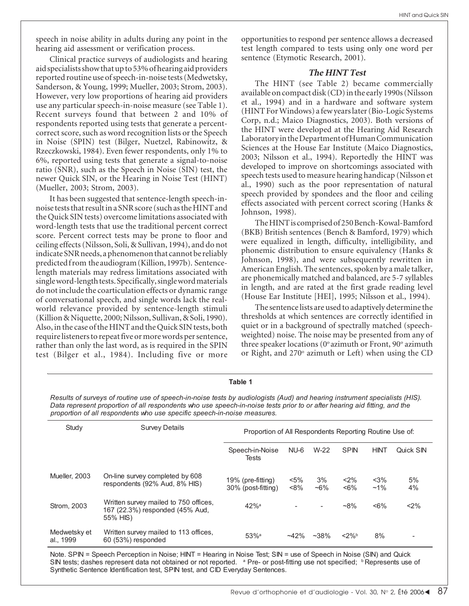speech in noise ability in adults during any point in the hearing aid assessment or verification process.

Clinical practice surveys of audiologists and hearing aid specialists show that up to 53% of hearing aid providers reported routine use of speech-in-noise tests (Medwetsky, Sanderson, & Young, 1999; Mueller, 2003; Strom, 2003). However, very low proportions of hearing aid providers use any particular speech-in-noise measure (see Table 1). Recent surveys found that between 2 and 10% of respondents reported using tests that generate a percentcorrect score, such as word recognition lists or the Speech in Noise (SPIN) test (Bilger, Nuetzel, Rabinowitz, & Rzeczkowski, 1984). Even fewer respondents, only 1% to 6%, reported using tests that generate a signal-to-noise ratio (SNR), such as the Speech in Noise (SIN) test, the newer Quick SIN, or the Hearing in Noise Test (HINT) (Mueller, 2003; Strom, 2003).

It has been suggested that sentence-length speech-innoise tests that result in a SNR score (such as the HINT and the Quick SIN tests) overcome limitations associated with word-length tests that use the traditional percent correct score. Percent correct tests may be prone to floor and ceiling effects (Nilsson, Soli, & Sullivan, 1994), and do not indicate SNR needs, a phenomenon that cannot be reliably predicted from the audiogram (Killion, 1997b). Sentencelength materials may redress limitations associated with single word-length tests. Specifically, single word materials do not include the coarticulation effects or dynamic range of conversational speech, and single words lack the realworld relevance provided by sentence-length stimuli (Killion & Niquette, 2000; Nilsson, Sullivan, & Soli, 1990). Also, in the case of the HINT and the Quick SIN tests, both require listeners to repeat five or more words per sentence, rather than only the last word, as is required in the SPIN test (Bilger et al., 1984). Including five or more

opportunities to respond per sentence allows a decreased test length compared to tests using only one word per sentence (Etymotic Research, 2001).

### **The HINT Test**

The HINT (see Table 2) became commercially available on compact disk (CD) in the early 1990s (Nilsson et al., 1994) and in a hardware and software system (HINT For Windows) a few years later (Bio-Logic Systems Corp, n.d.; Maico Diagnostics, 2003). Both versions of the HINT were developed at the Hearing Aid Research Laboratory in the Department of Human Communication Sciences at the House Ear Institute (Maico Diagnostics, 2003; Nilsson et al., 1994). Reportedly the HINT was developed to improve on shortcomings associated with speech tests used to measure hearing handicap (Nilsson et al., 1990) such as the poor representation of natural speech provided by spondees and the floor and ceiling effects associated with percent correct scoring (Hanks & Johnson, 1998).

The HINT is comprised of 250 Bench-Kowal-Bamford (BKB) British sentences (Bench & Bamford, 1979) which were equalized in length, difficulty, intelligibility, and phonemic distribution to ensure equivalency (Hanks & Johnson, 1998), and were subsequently rewritten in American English. The sentences, spoken by a male talker, are phonemically matched and balanced, are 5-7 syllables in length, and are rated at the first grade reading level (House Ear Institute [HEI], 1995; Nilsson et al., 1994).

The sentence lists are used to adaptively determine the thresholds at which sentences are correctly identified in quiet or in a background of spectrally matched (speechweighted) noise. The noise may be presented from any of three speaker locations (0° azimuth or Front, 90° azimuth or Right, and 270° azimuth or Left) when using the CD

| rapie 1                                                                                                                                                                                                                                                                                                                             |                                                                                      |                                                         |               |               |                 |                  |           |  |  |  |
|-------------------------------------------------------------------------------------------------------------------------------------------------------------------------------------------------------------------------------------------------------------------------------------------------------------------------------------|--------------------------------------------------------------------------------------|---------------------------------------------------------|---------------|---------------|-----------------|------------------|-----------|--|--|--|
| Results of surveys of routine use of speech-in-noise tests by audiologists (Aud) and hearing instrument specialists (HIS).<br>Data represent proportion of all respondents who use speech-in-noise tests prior to or after hearing aid fitting, and the<br>proportion of all respondents who use specific speech-in-noise measures. |                                                                                      |                                                         |               |               |                 |                  |           |  |  |  |
| Study                                                                                                                                                                                                                                                                                                                               | <b>Survey Details</b>                                                                | Proportion of All Respondents Reporting Routine Use of: |               |               |                 |                  |           |  |  |  |
|                                                                                                                                                                                                                                                                                                                                     |                                                                                      | Speech-in-Noise<br>Tests                                | NU-6          | $W-22$        | <b>SPIN</b>     | <b>HINT</b>      | Quick SIN |  |  |  |
| Mueller, 2003                                                                                                                                                                                                                                                                                                                       | On-line survey completed by 608<br>respondents (92% Aud, 8% HIS)                     | 19% (pre-fitting)<br>30% (post-fitting)                 | $<$ 5%<br><8% | 3%<br>$~16\%$ | $2\%$<br>$~5\%$ | $<$ 3%<br>$~1\%$ | 5%<br>4%  |  |  |  |
| Strom, 2003                                                                                                                                                                                                                                                                                                                         | Written survey mailed to 750 offices.<br>167 (22.3%) responded (45% Aud,<br>55% HIS) | $42%$ <sup>a</sup>                                      |               |               | $~8\%$          | $< 6\%$          | $2\%$     |  |  |  |
| Medwetsky et<br>al., 1999                                                                                                                                                                                                                                                                                                           | Written survey mailed to 113 offices,<br>60 (53%) responded                          | $53%$ <sup>a</sup>                                      | $-42%$        | $~238\%$      | $<$ 2%b         | 8%               |           |  |  |  |

Note. SPIN = Speech Perception in Noise; HINT = Hearing in Noise Test; SIN = use of Speech in Noise (SIN) and Quick SIN tests; dashes represent data not obtained or not reported. <sup>a</sup> Pre- or post-fitting use not specified; <sup>b</sup> Represents use of Synthetic Sentence Identification test, SPIN test, and CID Everyday Sentences.

#### **Table 1**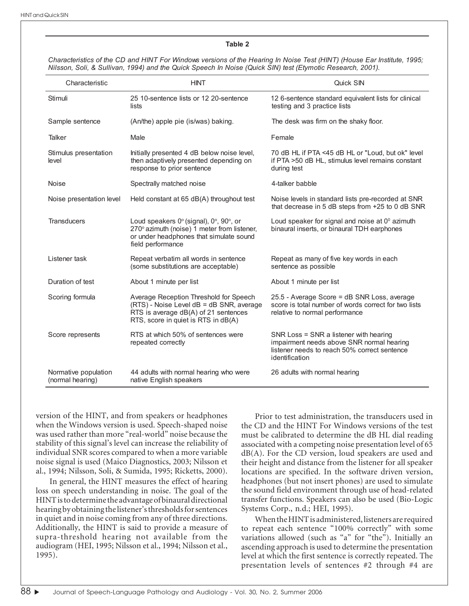#### **Table 2**

Characteristics of the CD and HINT For Windows versions of the Hearing In Noise Test (HINT) (House Ear Institute, 1995; Nilsson, Soli, & Sullivan, 1994) and the Quick Speech In Noise (Quick SIN) test (Etymotic Research, 2001).

| Characteristic                           | <b>HINT</b>                                                                                                                                                       | Quick SIN                                                                                                                                             |  |  |
|------------------------------------------|-------------------------------------------------------------------------------------------------------------------------------------------------------------------|-------------------------------------------------------------------------------------------------------------------------------------------------------|--|--|
| Stimuli                                  | 25 10-sentence lists or 12 20-sentence<br>lists                                                                                                                   | 12 6-sentence standard equivalent lists for clinical<br>testing and 3 practice lists                                                                  |  |  |
| Sample sentence                          | (An/the) apple pie (is/was) baking.                                                                                                                               | The desk was firm on the shaky floor.                                                                                                                 |  |  |
| Talker                                   | Male                                                                                                                                                              | Female                                                                                                                                                |  |  |
| Stimulus presentation<br>level           | Initially presented 4 dB below noise level,<br>then adaptively presented depending on<br>response to prior sentence                                               | 70 dB HL if PTA <45 dB HL or "Loud, but ok" level<br>if PTA >50 dB HL, stimulus level remains constant<br>during test                                 |  |  |
| Noise                                    | Spectrally matched noise                                                                                                                                          | 4-talker babble                                                                                                                                       |  |  |
| Noise presentation level                 | Held constant at 65 dB(A) throughout test                                                                                                                         | Noise levels in standard lists pre-recorded at SNR<br>that decrease in 5 dB steps from +25 to 0 dB SNR                                                |  |  |
| <b>Transducers</b>                       | Loud speakers 0° (signal), 0°, 90°, or<br>270° azimuth (noise) 1 meter from listener,<br>or under headphones that simulate sound<br>field performance             | Loud speaker for signal and noise at $0^{\circ}$ azimuth<br>binaural inserts, or binaural TDH earphones                                               |  |  |
| Listener task                            | Repeat verbatim all words in sentence<br>(some substitutions are acceptable)                                                                                      | Repeat as many of five key words in each<br>sentence as possible                                                                                      |  |  |
| Duration of test                         | About 1 minute per list                                                                                                                                           | About 1 minute per list                                                                                                                               |  |  |
| Scoring formula                          | Average Reception Threshold for Speech<br>(RTS) - Noise Level dB = dB SNR, average<br>RTS is average dB(A) of 21 sentences<br>RTS, score in quiet is RTS in dB(A) | 25.5 - Average Score = dB SNR Loss, average<br>score is total number of words correct for two lists<br>relative to normal performance                 |  |  |
| Score represents                         | RTS at which 50% of sentences were<br>repeated correctly                                                                                                          | SNR Loss = SNR a listener with hearing<br>impairment needs above SNR normal hearing<br>listener needs to reach 50% correct sentence<br>identification |  |  |
| Normative population<br>(normal hearing) | 44 adults with normal hearing who were<br>native English speakers                                                                                                 | 26 adults with normal hearing                                                                                                                         |  |  |

version of the HINT, and from speakers or headphones when the Windows version is used. Speech-shaped noise was used rather than more "real-world" noise because the stability of this signal's level can increase the reliability of individual SNR scores compared to when a more variable noise signal is used (Maico Diagnostics, 2003; Nilsson et al., 1994; Nilsson, Soli, & Sumida, 1995; Ricketts, 2000).

In general, the HINT measures the effect of hearing loss on speech understanding in noise. The goal of the HINT is to determine the advantage of binaural directional hearing by obtaining the listener's thresholds for sentences in quiet and in noise coming from any of three directions. Additionally, the HINT is said to provide a measure of supra-threshold hearing not available from the audiogram (HEI, 1995; Nilsson et al., 1994; Nilsson et al., 1995).

Prior to test administration, the transducers used in the CD and the HINT For Windows versions of the test must be calibrated to determine the dB HL dial reading associated with a competing noise presentation level of 65  $dB(A)$ . For the CD version, loud speakers are used and their height and distance from the listener for all speaker locations are specified. In the software driven version, headphones (but not insert phones) are used to simulate the sound field environment through use of head-related transfer functions. Speakers can also be used (Bio-Logic Systems Corp., n.d.; HEI, 1995).

When the HINT is administered, listeners are required to repeat each sentence "100% correctly" with some variations allowed (such as "a" for "the"). Initially an ascending approach is used to determine the presentation level at which the first sentence is correctly repeated. The presentation levels of sentences #2 through #4 are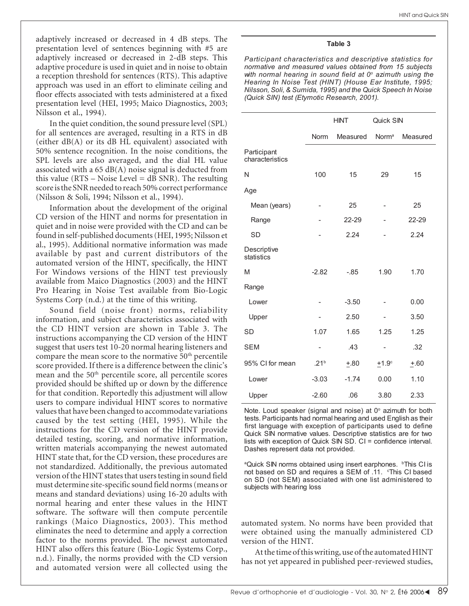adaptively increased or decreased in 4 dB steps. The presentation level of sentences beginning with #5 are adaptively increased or decreased in 2-dB steps. This adaptive procedure is used in quiet and in noise to obtain a reception threshold for sentences (RTS). This adaptive approach was used in an effort to eliminate ceiling and floor effects associated with tests administered at a fixed presentation level (HEI, 1995; Maico Diagnostics, 2003; Nilsson et al., 1994).

In the quiet condition, the sound pressure level (SPL) for all sentences are averaged, resulting in a RTS in dB (either  $dB(A)$  or its  $dB$  HL equivalent) associated with 50% sentence recognition. In the noise conditions, the SPL levels are also averaged, and the dial HL value associated with a  $65 \text{ dB}(A)$  noise signal is deducted from this value ( $RTS - Noise Level = dB SNR$ ). The resulting score is the SNR needed to reach 50% correct performance (Nilsson & Soli, 1994; Nilsson et al., 1994).

Information about the development of the original CD version of the HINT and norms for presentation in quiet and in noise were provided with the CD and can be found in self-published documents (HEI, 1995; Nilsson et al., 1995). Additional normative information was made available by past and current distributors of the automated version of the HINT, specifically, the HINT For Windows versions of the HINT test previously available from Maico Diagnostics (2003) and the HINT Pro Hearing in Noise Test available from Bio-Logic Systems Corp (n.d.) at the time of this writing.

Sound field (noise front) norms, reliability information, and subject characteristics associated with the CD HINT version are shown in Table 3. The instructions accompanying the CD version of the HINT suggest that users test 10-20 normal hearing listeners and compare the mean score to the normative  $50<sup>th</sup>$  percentile score provided. If there is a difference between the clinic's mean and the 50<sup>th</sup> percentile score, all percentile scores provided should be shifted up or down by the difference for that condition. Reportedly this adjustment will allow users to compare individual HINT scores to normative values that have been changed to accommodate variations caused by the test setting (HEI, 1995). While the instructions for the CD version of the HINT provide detailed testing, scoring, and normative information, written materials accompanying the newest automated HINT state that, for the CD version, these procedures are not standardized. Additionally, the previous automated version of the HINT states that users testing in sound field must determine site-specific sound field norms (means or means and standard deviations) using 16-20 adults with normal hearing and enter these values in the HINT software. The software will then compute percentile rankings (Maico Diagnostics, 2003). This method eliminates the need to determine and apply a correction factor to the norms provided. The newest automated HINT also offers this feature (Bio-Logic Systems Corp., n.d.). Finally, the norms provided with the CD version and automated version were all collected using the

#### **Table 3**

*Participant characteristics and descriptive statistics for normative and measured values obtained from 15 subjects with normal hearing in sound field at 0o azimuth using the Hearing In Noise Test (HINT) (House Ear Institute, 1995; Nilsson, Soli, & Sumida, 1995) and the Quick Speech In Noise (Quick SIN) test (Etymotic Research, 2001).*

|                                | <b>HINT</b>      |          | Quick SIN         |          |
|--------------------------------|------------------|----------|-------------------|----------|
|                                | <b>Norm</b>      | Measured | Norm <sup>a</sup> | Measured |
| Participant<br>characteristics |                  |          |                   |          |
| N                              | 100              | 15       | 29                | 15       |
| Age                            |                  |          |                   |          |
| Mean (years)                   |                  | 25       | 25                |          |
| Range                          |                  | 22-29    |                   | 22-29    |
| <b>SD</b>                      |                  | 2.24     |                   | 2.24     |
| Descriptive<br>statistics      |                  |          |                   |          |
| M                              | $-2.82$          | $-0.85$  | 1.90              | 1.70     |
| Range                          |                  |          |                   |          |
| Lower                          |                  | $-3.50$  |                   | 0.00     |
| Upper                          |                  | 2.50     |                   | 3.50     |
| SD                             | 1.07             | 1.65     | 1.25              | 1.25     |
| <b>SEM</b>                     |                  | .43      |                   | .32      |
| 95% CI for mean                | .21 <sup>b</sup> | $+0.80$  | $+1.9c$           | $+.60$   |
| Lower                          | $-3.03$          | $-1.74$  | 0.00              | 1.10     |
| Upper                          | $-2.60$          | .06      | 3.80              | 2.33     |

Note. Loud speaker (signal and noise) at  $0^\circ$  azimuth for both tests. Participants had normal hearing and used English as their first language with exception of participants used to define Quick SIN normative values. Descriptive statistics are for two lists with exception of Quick SIN SD. CI = confidence interval. Dashes represent data not provided.

<sup>a</sup>Quick SIN norms obtained using insert earphones. <sup>b</sup>This CI is not based on SD and requires a SEM of .11. *Chis CI* based on SD (not SEM) associated with one list administered to subjects with hearing loss

automated system. No norms have been provided that were obtained using the manually administered CD version of the HINT.

At the time of this writing, use of the automated HINT has not yet appeared in published peer-reviewed studies,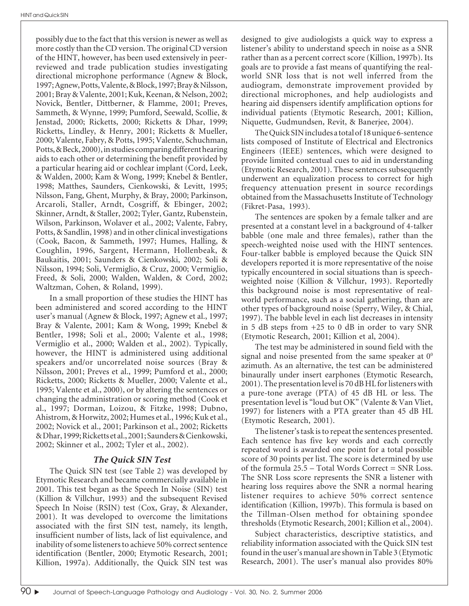possibly due to the fact that this version is newer as well as more costly than the CD version. The original CD version of the HINT, however, has been used extensively in peerreviewed and trade publication studies investigating directional microphone performance (Agnew & Block, 1997; Agnew, Potts, Valente, & Block, 1997; Bray & Nilsson, 2001; Bray & Valente, 2001; Kuk, Keenan, & Nelson, 2002; Novick, Bentler, Dittberner, & Flamme, 2001; Preves, Sammeth, & Wynne, 1999; Pumford, Seewald, Scollie, & Jenstad, 2000; Ricketts, 2000; Ricketts & Dhar, 1999; Ricketts, Lindley, & Henry, 2001; Ricketts & Mueller, 2000; Valente, Fabry, & Potts, 1995; Valente, Schuchman, Potts, & Beck, 2000), in studies comparing different hearing aids to each other or determining the benefit provided by a particular hearing aid or cochlear implant (Cord, Leek, & Walden, 2000; Kam & Wong, 1999; Knebel & Bentler, 1998; Matthes, Saunders, Cienkowski, & Levitt, 1995; Nilsson, Fang, Ghent, Murphy, & Bray, 2000; Parkinson, Arcaroli, Staller, Arndt, Cosgriff, & Ebinger, 2002; Skinner, Arndt, & Staller, 2002; Tyler, Gantz, Rubenstein, Wilson, Parkinson, Wolaver et al., 2002; Valente, Fabry, Potts, & Sandlin, 1998) and in other clinical investigations (Cook, Bacon, & Sammeth, 1997; Humes, Halling, & Coughlin, 1996, Sargent, Hermann, Hollenbeak, & Baukaitis, 2001; Saunders & Cienkowski, 2002; Soli & Nilsson, 1994; Soli, Vermiglio, & Cruz, 2000; Vermiglio, Freed, & Soli, 2000; Walden, Walden, & Cord, 2002; Waltzman, Cohen, & Roland, 1999).

In a small proportion of these studies the HINT has been administered and scored according to the HINT user's manual (Agnew & Block, 1997; Agnew et al., 1997; Bray & Valente, 2001; Kam & Wong, 1999; Knebel & Bentler, 1998; Soli et al., 2000; Valente et al., 1998; Vermiglio et al., 2000; Walden et al., 2002). Typically, however, the HINT is administered using additional speakers and/or uncorrelated noise sources (Bray & Nilsson, 2001; Preves et al., 1999; Pumford et al., 2000; Ricketts, 2000; Ricketts & Mueller, 2000; Valente et al., 1995; Valente et al., 2000), or by altering the sentences or changing the administration or scoring method (Cook et al., 1997; Dorman, Loizou, & Fitzke, 1998; Dubno, Ahistrom, & Horwitz, 2002; Humes et al., 1996; Kuk et al., 2002; Novick et al., 2001; Parkinson et al., 2002; Ricketts & Dhar, 1999; Ricketts et al., 2001; Saunders & Cienkowski, 2002; Skinner et al., 2002; Tyler et al., 2002).

# **The Quick SIN Test**

The Quick SIN test (see Table 2) was developed by Etymotic Research and became commercially available in 2001. This test began as the Speech In Noise (SIN) test (Killion & Villchur, 1993) and the subsequent Revised Speech In Noise (RSIN) test (Cox, Gray, & Alexander, 2001). It was developed to overcome the limitations associated with the first SIN test, namely, its length, insufficient number of lists, lack of list equivalence, and inability of some listeners to achieve 50% correct sentence identification (Bentler, 2000; Etymotic Research, 2001; Killion, 1997a). Additionally, the Quick SIN test was designed to give audiologists a quick way to express a listener's ability to understand speech in noise as a SNR rather than as a percent correct score (Killion, 1997b). Its goals are to provide a fast means of quantifying the realworld SNR loss that is not well inferred from the audiogram, demonstrate improvement provided by directional microphones, and help audiologists and hearing aid dispensers identify amplification options for individual patients (Etymotic Research, 2001; Killion, Niquette, Gudmundsen, Revit, & Banerjee, 2004).

The Quick SIN includes a total of 18 unique 6-sentence lists composed of Institute of Electrical and Electronics Engineers (IEEE) sentences, which were designed to provide limited contextual cues to aid in understanding (Etymotic Research, 2001). These sentences subsequently underwent an equalization process to correct for high frequency attenuation present in source recordings obtained from the Massachusetts Institute of Technology (Fikret-Pasa, 1993).

The sentences are spoken by a female talker and are presented at a constant level in a background of 4-talker babble (one male and three females), rather than the speech-weighted noise used with the HINT sentences. Four-talker babble is employed because the Quick SIN developers reported it is more representative of the noise typically encountered in social situations than is speechweighted noise (Killion & Villchur, 1993). Reportedly this background noise is most representative of realworld performance, such as a social gathering, than are other types of background noise (Sperry, Wiley, & Chial, 1997). The babble level in each list decreases in intensity in 5 dB steps from +25 to 0 dB in order to vary SNR (Etymotic Research, 2001; Killion et al, 2004).

The test may be administered in sound field with the signal and noise presented from the same speaker at  $0^{\circ}$ azimuth. As an alternative, the test can be administered binaurally under insert earphones (Etymotic Research, 2001). The presentation level is 70 dB HL for listeners with a pure-tone average (PTA) of 45 dB HL or less. The presentation level is "loud but OK" (Valente & Van Vliet, 1997) for listeners with a PTA greater than 45 dB HL (Etymotic Research, 2001).

The listener's task is to repeat the sentences presented. Each sentence has five key words and each correctly repeated word is awarded one point for a total possible score of 30 points per list. The score is determined by use of the formula 25.5 – Total Words Correct = SNR Loss. The SNR Loss score represents the SNR a listener with hearing loss requires above the SNR a normal hearing listener requires to achieve 50% correct sentence identification (Killion, 1997b). This formula is based on the Tillman-Olsen method for obtaining spondee thresholds (Etymotic Research, 2001; Killion et al., 2004).

Subject characteristics, descriptive statistics, and reliability information associated with the Quick SIN test found in the user's manual are shown in Table 3 (Etymotic Research, 2001). The user's manual also provides 80%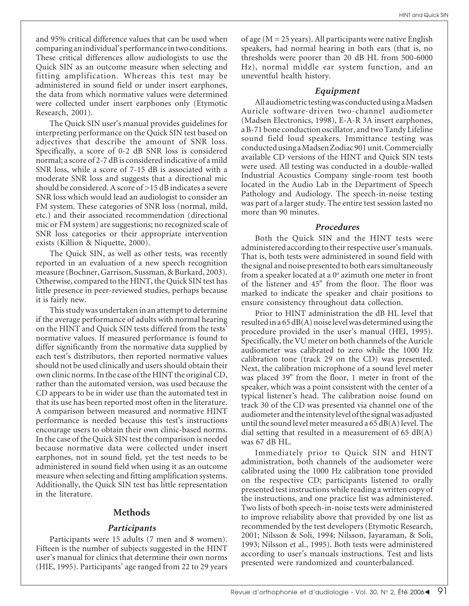and 95% critical difference values that can be used when comparing an individual's performance in two conditions. These critical differences allow audiologists to use the Quick SIN as an outcome measure when selecting and fitting amplification. Whereas this test may be administered in sound field or under insert earphones, the data from which normative values were determined were collected under insert earphones only (Etymotic Research, 2001).

The Quick SIN user's manual provides guidelines for interpreting performance on the Quick SIN test based on adjectives that describe the amount of SNR loss. Specifically, a score of 0-2 dB SNR loss is considered normal; a score of 2-7 dB is considered indicative of a mild SNR loss, while a score of 7-15 dB is associated with a moderate SNR loss and suggests that a directional mic should be considered. A score of >15 dB indicates a severe SNR loss which would lead an audiologist to consider an FM system. These categories of SNR loss (normal, mild, etc.) and their associated recommendation (directional mic or FM system) are suggestions; no recognized scale of SNR loss categories or their appropriate intervention exists (Killion & Niquette, 2000).

The Quick SIN, as well as other tests, was recently reported in an evaluation of a new speech recognition measure (Bochner, Garrison, Sussman, & Burkard, 2003). Otherwise, compared to the HINT, the Quick SIN test has little presence in peer-reviewed studies, perhaps because it is fairly new.

This study was undertaken in an attempt to determine if the average performance of adults with normal hearing on the HINT and Quick SIN tests differed from the tests' normative values. If measured performance is found to differ significantly from the normative data supplied by each test's distributors, then reported normative values should not be used clinically and users should obtain their own clinic norms. In the case of the HINT the original CD, rather than the automated version, was used because the CD appears to be in wider use than the automated test in that its use has been reported most often in the literature. A comparison between measured and normative HINT performance is needed because this test's instructions encourage users to obtain their own clinic-based norms. In the case of the Quick SIN test the comparison is needed because normative data were collected under insert earphones, not in sound field, yet the test needs to be administered in sound field when using it as an outcome measure when selecting and fitting amplification systems. Additionally, the Quick SIN test has little representation in the literature.

# **Methods**

### **Participants**

Participants were 15 adults (7 men and 8 women). Fifteen is the number of subjects suggested in the HINT user's manual for clinics that determine their own norms (HIE, 1995). Participants' age ranged from 22 to 29 years of age ( $M = 25$  years). All participants were native English speakers, had normal hearing in both ears (that is, no thresholds were poorer than 20 dB HL from 500-6000 Hz), normal middle ear system function, and an uneventful health history.

### **Equipment**

All audiometric testing was conducted using a Madsen Auricle software-driven two-channel audiometer (Madsen Electronics, 1998), E-A-R 3A insert earphones, a B-71 bone conduction oscillator, and two Tandy Lifeline sound field loud speakers. Immittance testing was conducted using a Madsen Zodiac 901 unit. Commercially available CD versions of the HINT and Quick SIN tests were used. All testing was conducted in a double-walled Industrial Acoustics Company single-room test booth located in the Audio Lab in the Department of Speech Pathology and Audiology. The speech-in-noise testing was part of a larger study. The entire test session lasted no more than 90 minutes.

### **Procedures**

Both the Quick SIN and the HINT tests were administered according to their respective user's manuals. That is, both tests were administered in sound field with the signal and noise presented to both ears simultaneously from a speaker located at a 0° azimuth one meter in front of the listener and 45" from the floor. The floor was marked to indicate the speaker and chair positions to ensure consistency throughout data collection.

Prior to HINT administration the dB HL level that resulted in a 65 dB(A) noise level was determined using the procedure provided in the user's manual (HEI, 1995). Specifically, the VU meter on both channels of the Auricle audiometer was calibrated to zero while the 1000 Hz calibration tone (track 29 on the CD) was presented. Next, the calibration microphone of a sound level meter was placed 39" from the floor, 1 meter in front of the speaker, which was a point consistent with the center of a typical listener's head. The calibration noise found on track 30 of the CD was presented via channel one of the audiometer and the intensity level of the signal was adjusted until the sound level meter measured a 65 dB(A) level. The dial setting that resulted in a measurement of  $65$  dB(A) was 67 dB HL.

Immediately prior to Quick SIN and HINT administration, both channels of the audiometer were calibrated using the 1000 Hz calibration tone provided on the respective CD; participants listened to orally presented test instructions while reading a written copy of the instructions, and one practice list was administered. Two lists of both speech-in-noise tests were administered to improve reliability above that provided by one list as recommended by the test developers (Etymotic Research, 2001; Nilsson & Soli, 1994; Nilsson, Jayaraman, & Soli, 1993; Nilsson et al., 1995). Both tests were administered according to user's manuals instructions. Test and lists presented were randomized and counterbalanced.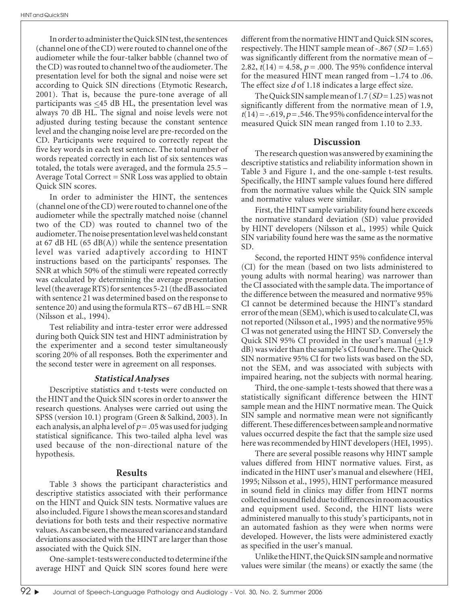In order to administer the Quick SIN test, the sentences (channel one of the CD) were routed to channel one of the audiometer while the four-talker babble (channel two of the CD) was routed to channel two of the audiometer. The presentation level for both the signal and noise were set according to Quick SIN directions (Etymotic Research, 2001). That is, because the pure-tone average of all participants was  $\leq$ 45 dB HL, the presentation level was always 70 dB HL. The signal and noise levels were not adjusted during testing because the constant sentence level and the changing noise level are pre-recorded on the CD. Participants were required to correctly repeat the five key words in each test sentence. The total number of words repeated correctly in each list of six sentences was totaled, the totals were averaged, and the formula 25.5 – Average Total Correct = SNR Loss was applied to obtain Quick SIN scores.

In order to administer the HINT, the sentences (channel one of the CD) were routed to channel one of the audiometer while the spectrally matched noise (channel two of the CD) was routed to channel two of the audiometer. The noise presentation level was held constant at 67 dB HL (65 dB(A)) while the sentence presentation level was varied adaptively according to HINT instructions based on the participants' responses. The SNR at which 50% of the stimuli were repeated correctly was calculated by determining the average presentation level (the average RTS) for sentences 5-21 (the dB associated with sentence 21 was determined based on the response to sentence 20) and using the formula  $RTS - 67$  dB  $HL = SNR$ (Nilsson et al., 1994).

Test reliability and intra-tester error were addressed during both Quick SIN test and HINT administration by the experimenter and a second tester simultaneously scoring 20% of all responses. Both the experimenter and the second tester were in agreement on all responses.

# **Statistical Analyses**

Descriptive statistics and t-tests were conducted on the HINT and the Quick SIN scores in order to answer the research questions. Analyses were carried out using the SPSS (version 10.1) program (Green & Salkind, 2003). In each analysis, an alpha level of  $p = 0.05$  was used for judging statistical significance. This two-tailed alpha level was used because of the non-directional nature of the hypothesis.

# **Results**

Table 3 shows the participant characteristics and descriptive statistics associated with their performance on the HINT and Quick SIN tests. Normative values are also included. Figure 1 shows the mean scores and standard deviations for both tests and their respective normative values. As can be seen, the measured variance and standard deviations associated with the HINT are larger than those associated with the Quick SIN.

One-sample t-tests were conducted to determine if the average HINT and Quick SIN scores found here were different from the normative HINT and Quick SIN scores, respectively. The HINT sample mean of  $-.867$  (SD = 1.65) was significantly different from the normative mean of – 2.82,  $t(14) = 4.58$ ,  $p = .000$ . The 95% confidence interval for the measured HINT mean ranged from –1.74 to .06. The effect size d of 1.18 indicates a large effect size.

The Quick SIN sample mean of  $1.7 (SD = 1.25)$  was not significantly different from the normative mean of 1.9,  $t(14) = -.619, p = .546$ . The 95% confidence interval for the measured Quick SIN mean ranged from 1.10 to 2.33.

# **Discussion**

The research question was answered by examining the descriptive statistics and reliability information shown in Table 3 and Figure 1, and the one-sample t-test results. Specifically, the HINT sample values found here differed from the normative values while the Quick SIN sample and normative values were similar.

First, the HINT sample variability found here exceeds the normative standard deviation (SD) value provided by HINT developers (Nilsson et al., 1995) while Quick SIN variability found here was the same as the normative SD.

Second, the reported HINT 95% confidence interval (CI) for the mean (based on two lists administered to young adults with normal hearing) was narrower than the CI associated with the sample data. The importance of the difference between the measured and normative 95% CI cannot be determined because the HINT's standard error of the mean (SEM), which is used to calculate CI, was not reported (Nilsson et al., 1995) and the normative 95% CI was not generated using the HINT SD. Conversely the Quick SIN 95% CI provided in the user's manual  $(\pm 1.9)$ dB) was wider than the sample's CI found here. The Quick SIN normative 95% CI for two lists was based on the SD, not the SEM, and was associated with subjects with impaired hearing, not the subjects with normal hearing.

Third, the one-sample t-tests showed that there was a statistically significant difference between the HINT sample mean and the HINT normative mean. The Quick SIN sample and normative mean were not significantly different. These differences between sample and normative values occurred despite the fact that the sample size used here was recommended by HINT developers (HEI, 1995).

There are several possible reasons why HINT sample values differed from HINT normative values. First, as indicated in the HINT user's manual and elsewhere (HEI, 1995; Nilsson et al., 1995), HINT performance measured in sound field in clinics may differ from HINT norms collected in sound field due to differences in room acoustics and equipment used. Second, the HINT lists were administered manually to this study's participants, not in an automated fashion as they were when norms were developed. However, the lists were administered exactly as specified in the user's manual.

Unlike the HINT, the Quick SIN sample and normative values were similar (the means) or exactly the same (the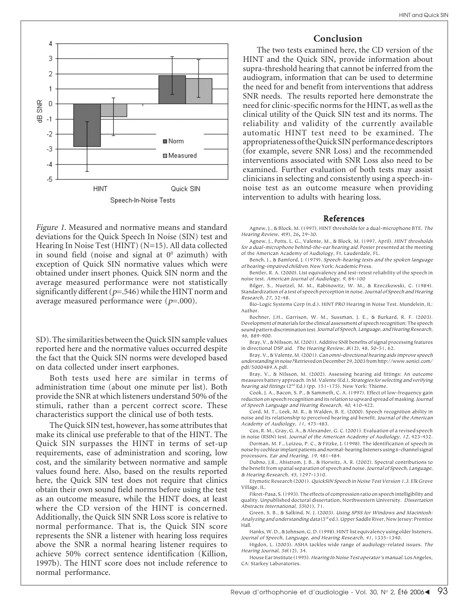



The two tests examined here, the CD version of the HINT and the Quick SIN, provide information about supra-threshold hearing that cannot be inferred from the audiogram, information that can be used to determine the need for and benefit from interventions that address SNR needs. The results reported here demonstrate the need for clinic-specific norms for the HINT, as well as the clinical utility of the Quick SIN test and its norms. The reliability and validity of the currently available automatic HINT test need to be examined. The appropriateness of the Quick SIN performance descriptors (for example, severe SNR Loss) and the recommended interventions associated with SNR Loss also need to be examined. Further evaluation of both tests may assist clinicians in selecting and consistently using a speech-innoise test as an outcome measure when providing intervention to adults with hearing loss.

### **References**

Agnew, J., & Block, M. (1997). HINT thresholds for a dual-microphone BTE. The Hearing Review, 4(9), 26, 29-30.

Agnew, J., Potts, L. G., Valente, M., & Block, M. (1997, April). HINT thresholds for a dual-microphone behind-the-ear hearing aid. Poster presented at the meeting of the American Academy of Audiology, Ft. Lauderdale, FL.

Bench, J., & Bamford, J. (1979). Speech-hearing tests and the spoken language of hearing-impaired children. New York: Academic Press.

Bentler, R. A. (2000). List equivalency and test-retest reliability of the speech in noise test. American Journal of Audiology, <sup>9</sup>, 84-100

Bilger, S., Nuetzel, M. M., Rabinowitz, W. M., & Rzeczkowski, C. (1984). Standardization of a test of speech perception in noise. Journal of Speech and Hearing Research, 27, 32-48.

Bio-Logic Systems Corp (n.d.). HINT PRO Hearing in Noise Test. Mundelein, IL: Author.

Bochner, J.H., Garrison, W. M., Sussman, J. E., & Burkard, R. F. (2003). Development of materials for the clinical assessment of speech recognition: The speech sound pattern discrimination test. Journal of Speech, Language, and Hearing Research, <sup>46</sup>, 889-900.

Bray, V., & Nilsson, M. (2001). Additive SNR benefits of signal processing features in directional DSP aid. The Hearing Review, 8(12), 48, 50-51, 62.

Bray, V., & Valente, M. (2001). Can omni-directional hearing aids improve speech understanding in noise? Retrieved on December 29, 2003 from http://www.sonici.com/ pdf/5000489.A.pdf.

Bray, V., & Nilsson, M. (2002). Assessing hearing aid fittings: An outcome measures battery approach. In M. Valente (Ed.), Strategies for selecting and verifying hearing aid fittings (2<sup>nd</sup> Ed.) (pp. 151-175). New York: Thieme.

Cook, J. A., Bacon, S. P., & Sammeth, C. A. (1997). Effect of low-frequency gain reduction on speech recognition and its relation to upward spread of masking. Journal of Speech Language and Hearing Research, 40, 410-422.

Cord, M. T., Leek, M. R., & Walden, B. E. (2000). Speech recognition ability in noise and its relationship to perceived hearing aid benefit. Journal of the American Academy of Audiology, 11, 475-483.

Cox, R. M., Gray, G. A., & Alexander, G. C. (2001). Evaluation of a revised speech in noise (RSIN) test. Journal of the American Academy of Audiology, 12, 423-432.

Dorman, M. F., Loizou, P. C., & Fitzke, J. (1998). The identification of speech in noise by cochlear implant patients and normal-hearing listeners using 6-channel signal processors. Ear and Hearing, 19, 481-484.

Dubno, J.R., Ahistrom, J. B., & Horwitz, A. R. (2002). Spectral contributions to the benefit from spatial separation of speech and noise. Journal of Speech, Language, & Hearing Research, 45, 1297-1310.

Etymotic Research (2001). QuickSIN Speech in Noise Test Version 1.3. Elk Grove Village, IL.

Fikret-Pasa, S. (1993). The effects of compression ratio on speech intelligibility and quality. Unpublished doctoral dissertation, Northwestern University. Dissertation Abstracts International, 55(01), 71.

Green, S. B., & Salkind, N. J. (2003). Using SPSS for Windows and Macintosh: Analyzing and understanding data (3rd ed.). Upper Saddle River, New Jersey: Prentice Hall.

Hanks, W. D., & Johnson, G. D. (1998). HINT list equivalency using older listeners. Journal of Speech, Language, and Hearing Research, 41, 1335-1340.

Higdon, L. (2003). ASHA tackles wide range of audiology-related issues. The Hearing Journal, 56(12), 34.

House Ear Institute (1995). Hearing In Noise Test operator's manual. Los Angeles, CA: Starkey Laboratories.



Figure 1. Measured and normative means and standard deviations for the Quick Speech In Noise (SIN) test and Hearing In Noise Test (HINT) (N=15). All data collected in sound field (noise and signal at  $0^{\circ}$  azimuth) with exception of Quick SIN normative values which were obtained under insert phones. Quick SIN norm and the average measured performance were not statistically significantly different ( $p=0.546$ ) while the HINT norm and average measured performance were  $(p=.000)$ .

SD). The similarities between the Quick SIN sample values reported here and the normative values occurred despite the fact that the Quick SIN norms were developed based on data collected under insert earphones.

Both tests used here are similar in terms of administration time (about one minute per list). Both provide the SNR at which listeners understand 50% of the stimuli, rather than a percent correct score. These characteristics support the clinical use of both tests.

The Quick SIN test, however, has some attributes that make its clinical use preferable to that of the HINT. The Quick SIN surpasses the HINT in terms of set-up requirements, ease of administration and scoring, low cost, and the similarity between normative and sample values found here. Also, based on the results reported here, the Quick SIN test does not require that clinics obtain their own sound field norms before using the test as an outcome measure, while the HINT does, at least where the CD version of the HINT is concerned. Additionally, the Quick SIN SNR Loss score is relative to normal performance. That is, the Quick SIN score represents the SNR a listener with hearing loss requires above the SNR a normal hearing listener requires to achieve 50% correct sentence identification (Killion, 1997b). The HINT score does not include reference to normal performance.